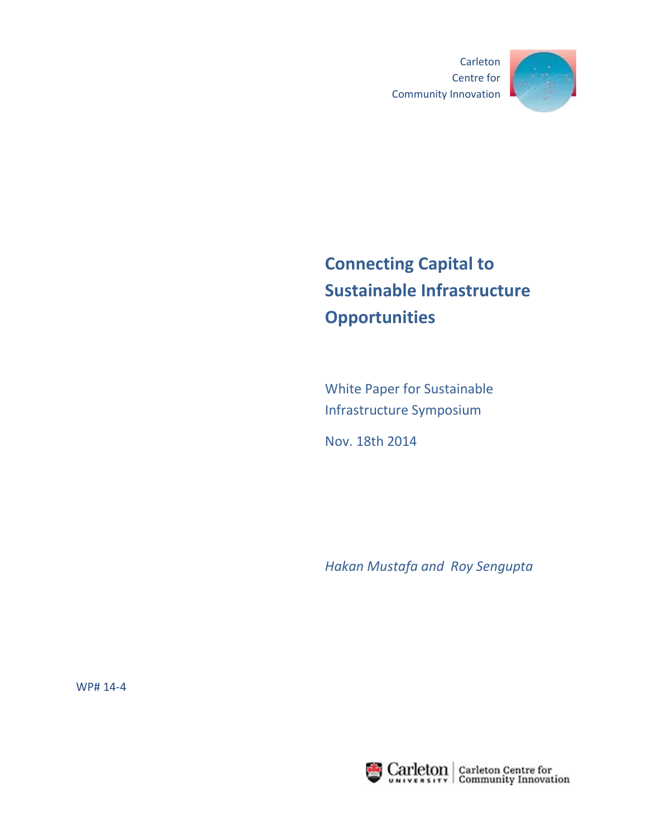Carleton Centre for Community Innovation



# **Connecting Capital to Sustainable Infrastructure Opportunities**

White Paper for Sustainable Infrastructure Symposium

Nov. 18th 2014

*Hakan Mustafa and Roy Sengupta*

WP# 14-4

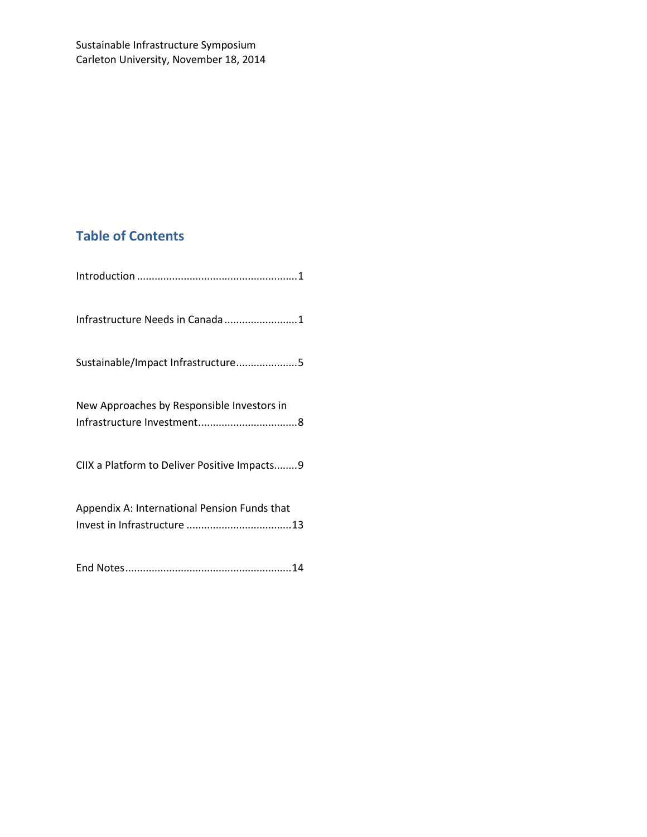# **Table of Contents**

| Infrastructure Needs in Canada 1             |
|----------------------------------------------|
| Sustainable/Impact Infrastructure5           |
| New Approaches by Responsible Investors in   |
| CIIX a Platform to Deliver Positive Impacts9 |
| Appendix A: International Pension Funds that |
|                                              |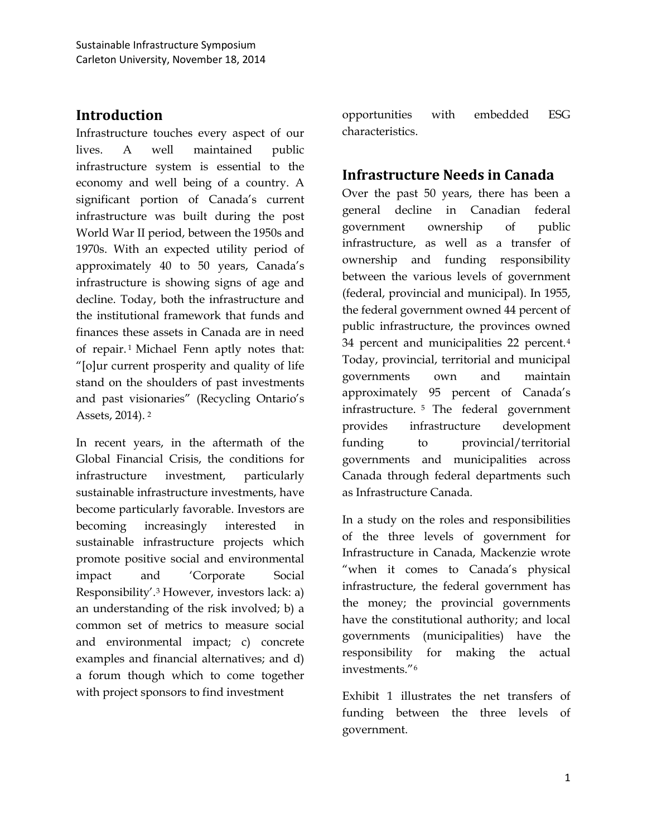### <span id="page-2-0"></span>**Introduction**

Infrastructure touches every aspect of our lives. A well maintained public infrastructure system is essential to the economy and well being of a country. A significant portion of Canada's current infrastructure was built during the post World War II period, between the 1950s and 1970s. With an expected utility period of approximately 40 to 50 years, Canada's infrastructure is showing signs of age and decline. Today, both the infrastructure and the institutional framework that funds and finances these assets in Canada are in need of repair. [1](#page-16-0) Michael Fenn aptly notes that: "[o]ur current prosperity and quality of life stand on the shoulders of past investments and past visionaries" (Recycling Ontario's Assets, 2014). [2](#page-16-1)

In recent years, in the aftermath of the Global Financial Crisis, the conditions for infrastructure investment, particularly sustainable infrastructure investments, have become particularly favorable. Investors are becoming increasingly interested in sustainable infrastructure projects which promote positive social and environmental impact and 'Corporate Social Responsibility'.[3](#page-16-2) However, investors lack: a) an understanding of the risk involved; b) a common set of metrics to measure social and environmental impact; c) concrete examples and financial alternatives; and d) a forum though which to come together with project sponsors to find investment

opportunities with embedded ESG characteristics.

### <span id="page-2-1"></span>**Infrastructure Needs in Canada**

Over the past 50 years, there has been a general decline in Canadian federal government ownership of public infrastructure, as well as a transfer of ownership and funding responsibility between the various levels of government (federal, provincial and municipal). In 1955, the federal government owned 44 percent of public infrastructure, the provinces owned 34 percent and municipalities 22 percent.[4](#page-17-0) Today, provincial, territorial and municipal governments own and maintain approximately 95 percent of Canada's infrastructure. [5](#page-17-1) The federal government provides infrastructure development funding to provincial/territorial governments and municipalities across Canada through federal departments such as Infrastructure Canada.

In a study on the roles and responsibilities of the three levels of government for Infrastructure in Canada, Mackenzie wrote "when it comes to Canada's physical infrastructure, the federal government has the money; the provincial governments have the constitutional authority; and local governments (municipalities) have the responsibility for making the actual investments."[6](#page-17-2)

Exhibit 1 illustrates the net transfers of funding between the three levels of government.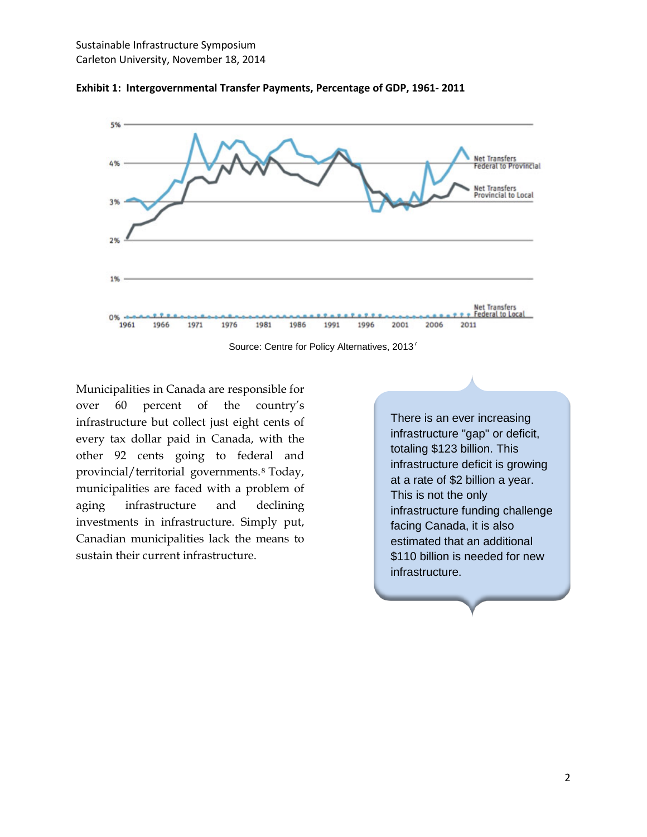

**Exhibit 1: Intergovernmental Transfer Payments, Percentage of GDP, 1961- 2011**

Source: Centre for Policy Alternatives, 2013<sup>[7](#page-17-3)</sup>

Municipalities in Canada are responsible for over 60 percent of the country's infrastructure but collect just eight cents of every tax dollar paid in Canada, with the other 92 cents going to federal and provincial/territorial governments.[8](#page-17-4) Today, municipalities are faced with a problem of aging infrastructure and declining investments in infrastructure. Simply put, Canadian municipalities lack the means to sustain their current infrastructure.

There is an ever increasing infrastructure "gap" or deficit, totaling \$123 billion. This infrastructure deficit is growing at a rate of \$2 billion a year. This is not the only infrastructure funding challenge facing Canada, it is also estimated that an additional \$110 billion is needed for new infrastructure.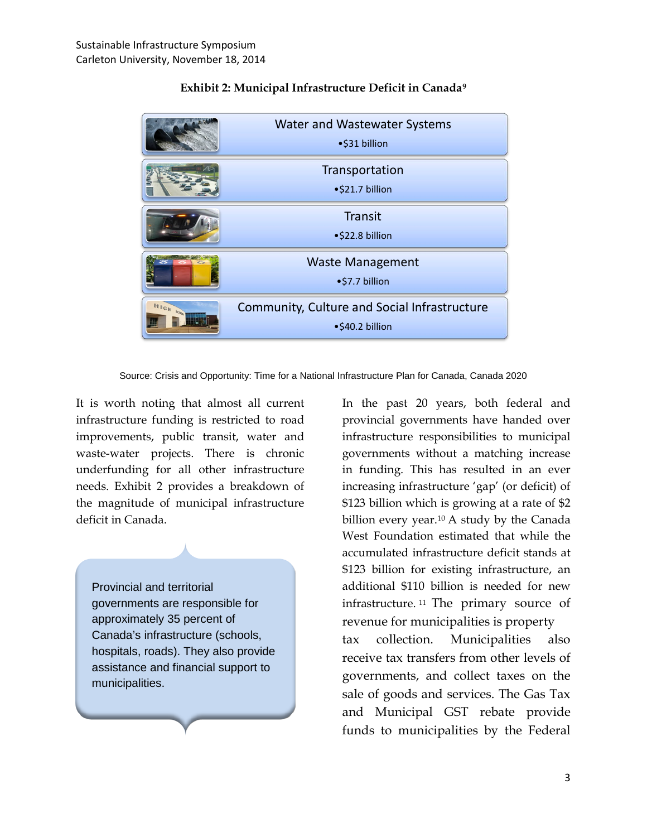|               | <b>Water and Wastewater Systems</b><br>•\$31 billion            |
|---------------|-----------------------------------------------------------------|
|               | Transportation<br>•\$21.7 billion                               |
|               | Transit<br>•\$22.8 billion                                      |
|               | <b>Waste Management</b><br>•\$7.7 billion                       |
| HIGH<br>SCROP | Community, Culture and Social Infrastructure<br>•\$40.2 billion |

#### **Exhibit 2: Municipal Infrastructure Deficit in Canada[9](#page-17-5)**

Source: Crisis and Opportunity: Time for a National Infrastructure Plan for Canada, Canada 2020

It is worth noting that almost all current infrastructure funding is restricted to road improvements, public transit, water and waste-water projects. There is chronic underfunding for all other infrastructure needs. Exhibit 2 provides a breakdown of the magnitude of municipal infrastructure deficit in Canada.

Provincial and territorial governments are responsible for approximately 35 percent of Canada's infrastructure (schools, hospitals, roads). They also provide assistance and financial support to municipalities.

In the past 20 years, both federal and provincial governments have handed over infrastructure responsibilities to municipal governments without a matching increase in funding. This has resulted in an ever increasing infrastructure 'gap' (or deficit) of \$123 billion which is growing at a rate of \$2 billion every year.<sup>[10](#page-17-6)</sup> A study by the Canada West Foundation estimated that while the accumulated infrastructure deficit stands at \$123 billion for existing infrastructure, an additional \$110 billion is needed for new infrastructure. [11](#page-17-7) The primary source of revenue for municipalities is property tax collection. Municipalities also receive tax transfers from other levels of governments, and collect taxes on the sale of goods and services. The Gas Tax and Municipal GST rebate provide funds to municipalities by the Federal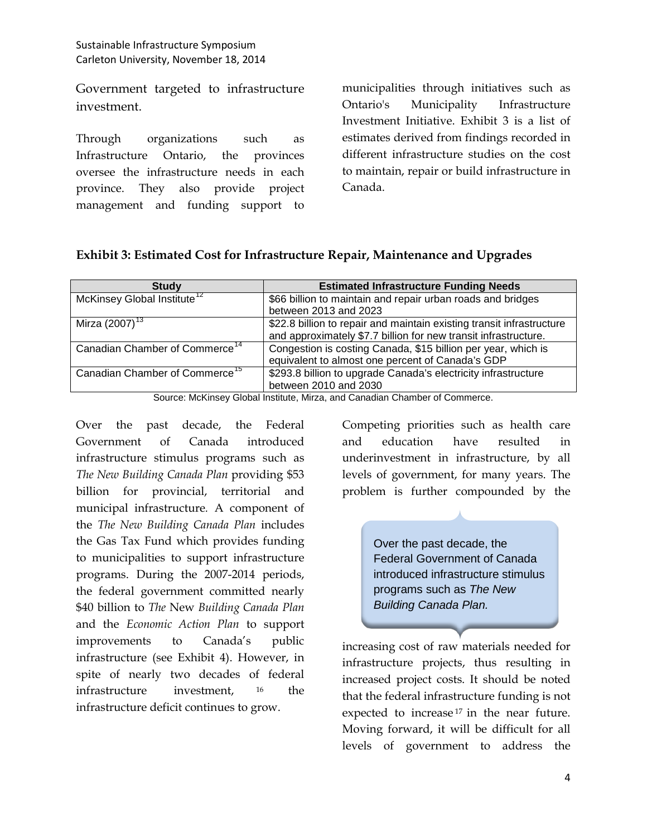Government targeted to infrastructure investment.

Through organizations such as Infrastructure Ontario, the provinces oversee the infrastructure needs in each province. They also provide project management and funding support to municipalities through initiatives such as Ontario's Municipality Infrastructure Investment Initiative. Exhibit 3 is a list of estimates derived from findings recorded in different infrastructure studies on the cost to maintain, repair or build infrastructure in Canada.

| Exhibit 3: Estimated Cost for Infrastructure Repair, Maintenance and Upgrades |  |  |
|-------------------------------------------------------------------------------|--|--|
|-------------------------------------------------------------------------------|--|--|

| <b>Estimated Infrastructure Funding Needs</b>                         |
|-----------------------------------------------------------------------|
| \$66 billion to maintain and repair urban roads and bridges           |
| between 2013 and 2023                                                 |
| \$22.8 billion to repair and maintain existing transit infrastructure |
| and approximately \$7.7 billion for new transit infrastructure.       |
| Congestion is costing Canada, \$15 billion per year, which is         |
| equivalent to almost one percent of Canada's GDP                      |
| \$293.8 billion to upgrade Canada's electricity infrastructure        |
| between 2010 and 2030                                                 |
|                                                                       |

Source: McKinsey Global Institute, Mirza, and Canadian Chamber of Commerce.

Over the past decade, the Federal Government of Canada introduced infrastructure stimulus programs such as *The New Building Canada Plan* providing \$53 billion for provincial, territorial and municipal infrastructure*.* A component of the *The New Building Canada Plan* includes the Gas Tax Fund which provides funding to municipalities to support infrastructure programs. During the 2007-2014 periods, the federal government committed nearly \$40 billion to *The* New *Building Canada Plan* and the *Economic Action Plan* to support improvements to Canada's public infrastructure (see Exhibit 4). However, in spite of nearly two decades of federal infrastructure investment, [16](#page-17-12) the infrastructure deficit continues to grow.

Competing priorities such as health care and education have resulted in underinvestment in infrastructure, by all levels of government, for many years. The problem is further compounded by the

> Over the past decade, the Federal Government of Canada introduced infrastructure stimulus programs such as *The New Building Canada Plan.*

increasing cost of raw materials needed for infrastructure projects, thus resulting in increased project costs. It should be noted that the federal infrastructure funding is not expected to increase<sup>[17](#page-17-13)</sup> in the near future. Moving forward, it will be difficult for all levels of government to address the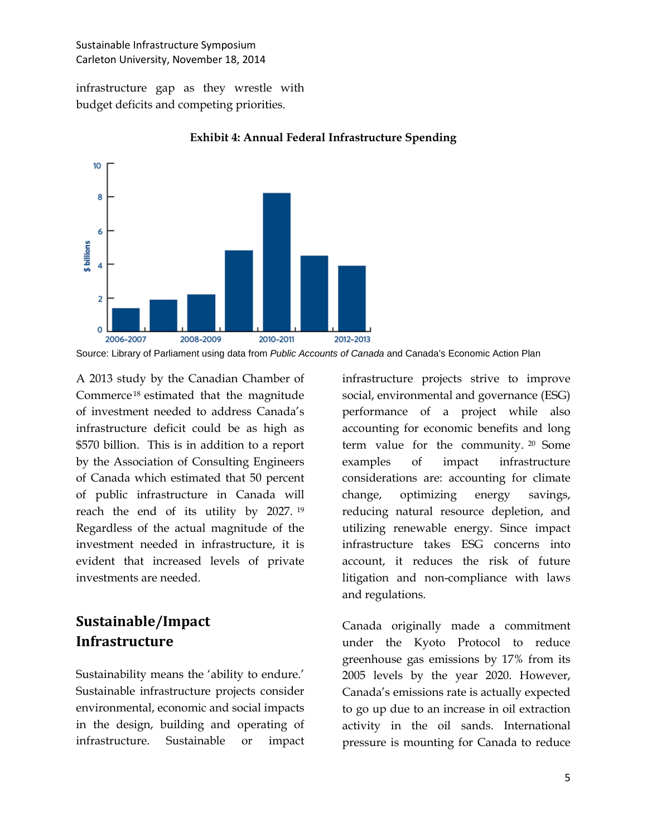infrastructure gap as they wrestle with budget deficits and competing priorities.



**Exhibit 4: Annual Federal Infrastructure Spending**

Source: Library of Parliament using data from *Public Accounts of Canada* and Canada's Economic Action Plan

A 2013 study by the Canadian Chamber of Commerce [18](#page-17-14) estimated that the magnitude of investment needed to address Canada's infrastructure deficit could be as high as \$570 billion. This is in addition to a report by the Association of Consulting Engineers of Canada which estimated that 50 percent of public infrastructure in Canada will reach the end of its utility by 2027. [19](#page-17-15) Regardless of the actual magnitude of the investment needed in infrastructure, it is evident that increased levels of private investments are needed.

## <span id="page-6-0"></span>**Sustainable/Impact Infrastructure**

Sustainability means the 'ability to endure.' Sustainable infrastructure projects consider environmental, economic and social impacts in the design, building and operating of infrastructure. Sustainable or impact infrastructure projects strive to improve social, environmental and governance (ESG) performance of a project while also accounting for economic benefits and long term value for the community. [20](#page-17-16) Some examples of impact infrastructure considerations are: accounting for climate change, optimizing energy savings, reducing natural resource depletion, and utilizing renewable energy. Since impact infrastructure takes ESG concerns into account, it reduces the risk of future litigation and non-compliance with laws and regulations.

Canada originally made a commitment under the Kyoto Protocol to reduce greenhouse gas emissions by 17% from its 2005 levels by the year 2020. However, Canada's emissions rate is actually expected to go up due to an increase in oil extraction activity in the oil sands. International pressure is mounting for Canada to reduce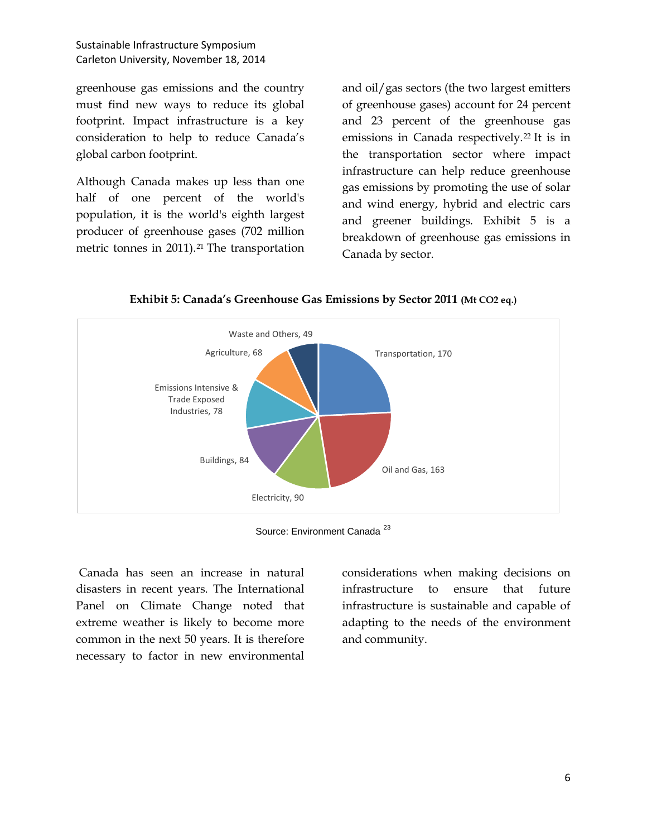greenhouse gas emissions and the country must find new ways to reduce its global footprint. Impact infrastructure is a key consideration to help to reduce Canada's global carbon footprint.

Although Canada makes up less than one half of one percent of the world's population, it is the world's eighth largest producer of greenhouse gases (702 million metric tonnes in 2011).<sup>[21](#page-17-17)</sup> The transportation and oil/gas sectors (the two largest emitters of greenhouse gases) account for 24 percent and 23 percent of the greenhouse gas emissions in Canada respectively.<sup>[22](#page-17-18)</sup> It is in the transportation sector where impact infrastructure can help reduce greenhouse gas emissions by promoting the use of solar and wind energy, hybrid and electric cars and greener buildings. Exhibit 5 is a breakdown of greenhouse gas emissions in Canada by sector.



**Exhibit 5: Canada's Greenhouse Gas Emissions by Sector 2011 (Mt CO2 eq.)**

Canada has seen an increase in natural disasters in recent years. The International Panel on Climate Change noted that extreme weather is likely to become more common in the next 50 years. It is therefore necessary to factor in new environmental considerations when making decisions on infrastructure to ensure that future infrastructure is sustainable and capable of adapting to the needs of the environment and community.

Source: Environment Canada<sup>[23](#page-17-19)</sup>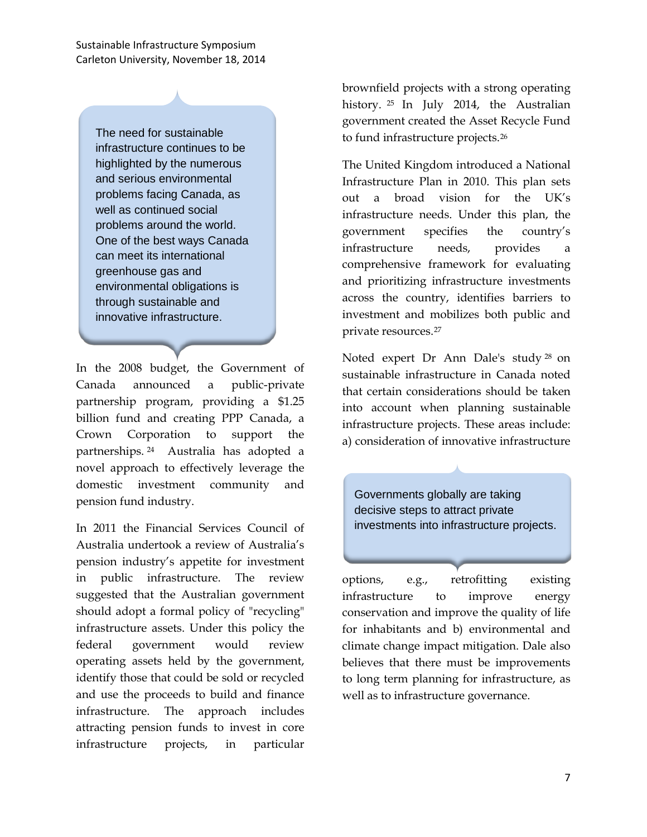The need for sustainable infrastructure continues to be highlighted by the numerous and serious environmental problems facing Canada, as well as continued social problems around the world. One of the best ways Canada can meet its international greenhouse gas and environmental obligations is through sustainable and innovative infrastructure.

In the 2008 budget, the Government of Canada announced a public-private partnership program, providing a \$1.25 billion fund and creating PPP Canada, a Crown Corporation to support the partnerships. [24](#page-17-20) Australia has adopted a novel approach to effectively leverage the domestic investment community and pension fund industry.

In 2011 the Financial Services Council of Australia undertook a review of Australia's pension industry's appetite for investment in public infrastructure. The review suggested that the Australian government should adopt a formal policy of "recycling" infrastructure assets. Under this policy the federal government would review operating assets held by the government, identify those that could be sold or recycled and use the proceeds to build and finance infrastructure. The approach includes attracting pension funds to invest in core infrastructure projects, in particular

brownfield projects with a strong operating history. [25](#page-17-21) In July 2014, the Australian government created the Asset Recycle Fund to fund infrastructure projects.[26](#page-17-22)

The United Kingdom introduced a National Infrastructure Plan in 2010. This plan sets out a broad vision for the UK's infrastructure needs. Under this plan, the government specifies the country's infrastructure needs, provides a comprehensive framework for evaluating and prioritizing infrastructure investments across the country, identifies barriers to investment and mobilizes both public and private resources.[27](#page-17-23)

Noted expert Dr Ann Dale's study [28](#page-17-24) on sustainable infrastructure in Canada noted that certain considerations should be taken into account when planning sustainable infrastructure projects. These areas include: a) consideration of innovative infrastructure

Governments globally are taking decisive steps to attract private investments into infrastructure projects.

options, e.g., retrofitting existing infrastructure to improve energy conservation and improve the quality of life for inhabitants and b) environmental and climate change impact mitigation. Dale also believes that there must be improvements to long term planning for infrastructure, as well as to infrastructure governance.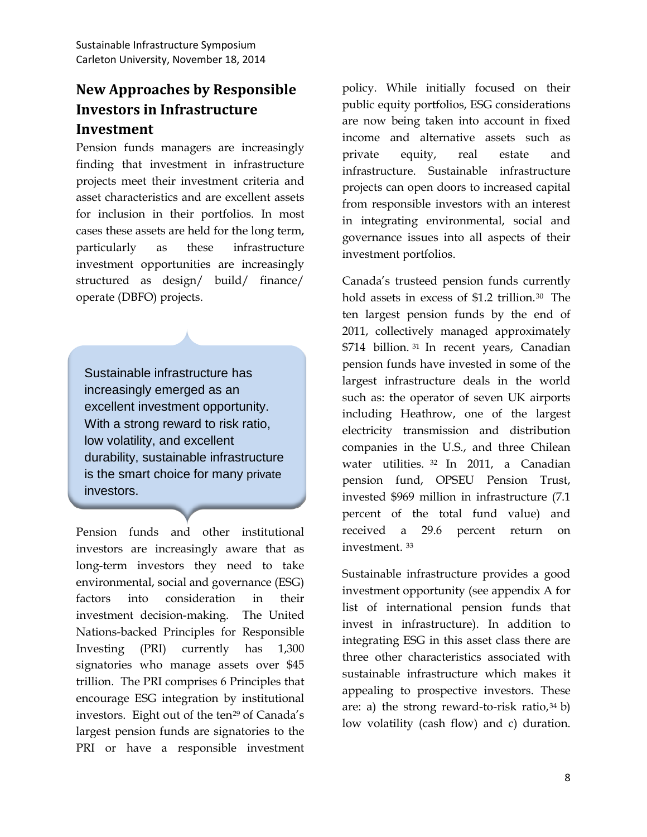### <span id="page-9-0"></span>**New Approaches by Responsible Investors in Infrastructure Investment**

Pension funds managers are increasingly finding that investment in infrastructure projects meet their investment criteria and asset characteristics and are excellent assets for inclusion in their portfolios. In most cases these assets are held for the long term, particularly as these infrastructure investment opportunities are increasingly structured as design/ build/ finance/ operate (DBFO) projects.

Sustainable infrastructure has increasingly emerged as an excellent investment opportunity. With a strong reward to risk ratio, low volatility, and excellent durability, sustainable infrastructure is the smart choice for many private investors.

Pension funds and other institutional investors are increasingly aware that as long-term investors they need to take environmental, social and governance (ESG) factors into consideration in their investment decision-making. The United Nations-backed Principles for Responsible Investing (PRI) currently has 1,300 signatories who manage assets over \$45 trillion. The PRI comprises 6 Principles that encourage ESG integration by institutional investors. Eight out of the ten<sup>[29](#page-17-25)</sup> of Canada's largest pension funds are signatories to the PRI or have a responsible investment policy. While initially focused on their public equity portfolios, ESG considerations are now being taken into account in fixed income and alternative assets such as private equity, real estate and infrastructure. Sustainable infrastructure projects can open doors to increased capital from responsible investors with an interest in integrating environmental, social and governance issues into all aspects of their investment portfolios.

Canada's trusteed pension funds currently hold assets in excess of \$1.2 trillion.<sup>[30](#page-17-26)</sup> The ten largest pension funds by the end of 2011, collectively managed approximately \$714 billion. [31](#page-17-27) In recent years, Canadian pension funds have invested in some of the largest infrastructure deals in the world such as: the operator of seven UK airports including Heathrow, one of the largest electricity transmission and distribution companies in the U.S., and three Chilean water utilities. [32](#page-17-28) In 2011, a Canadian pension fund, OPSEU Pension Trust, invested \$969 million in infrastructure (7.1 percent of the total fund value) and received a 29.6 percent return on investment. [33](#page-17-29)

Sustainable infrastructure provides a good investment opportunity (see appendix A for list of international pension funds that invest in infrastructure). In addition to integrating ESG in this asset class there are three other characteristics associated with sustainable infrastructure which makes it appealing to prospective investors. These are: a) the strong reward-to-risk ratio, $34 \text{ b}$  $34 \text{ b}$ low volatility (cash flow) and c) duration.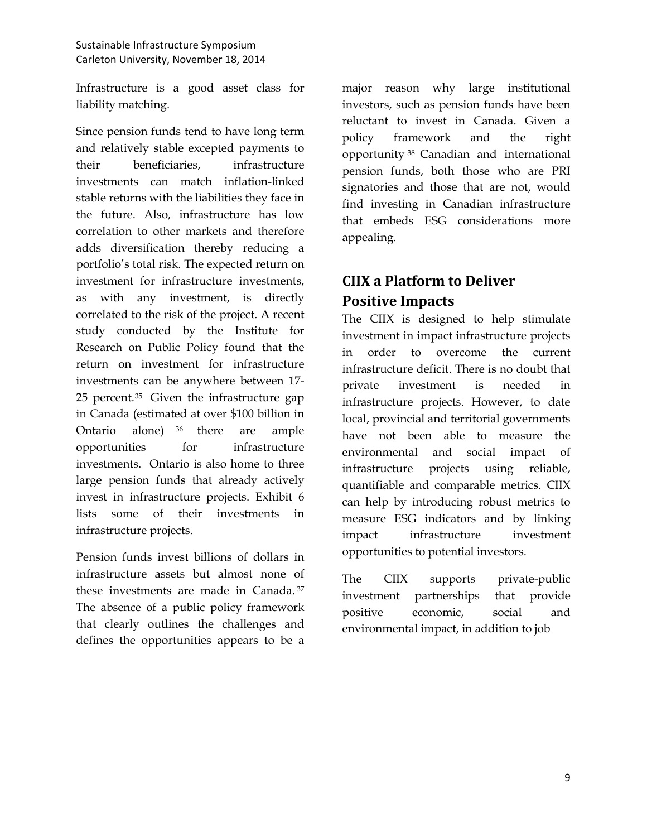Infrastructure is a good asset class for liability matching.

Since pension funds tend to have long term and relatively stable excepted payments to their beneficiaries, infrastructure investments can match inflation-linked stable returns with the liabilities they face in the future. Also, infrastructure has low correlation to other markets and therefore adds diversification thereby reducing a portfolio's total risk. The expected return on investment for infrastructure investments, as with any investment, is directly correlated to the risk of the project. A recent study conducted by the Institute for Research on Public Policy found that the return on investment for infrastructure investments can be anywhere between 17- 25 percent.[35](#page-17-31) Given the infrastructure gap in Canada (estimated at over \$100 billion in Ontario alone) [36](#page-17-32) there are ample opportunities for infrastructure investments. Ontario is also home to three large pension funds that already actively invest in infrastructure projects. Exhibit 6 lists some of their investments in infrastructure projects.

Pension funds invest billions of dollars in infrastructure assets but almost none of these investments are made in Canada. [37](#page-17-33) The absence of a public policy framework that clearly outlines the challenges and defines the opportunities appears to be a

major reason why large institutional investors, such as pension funds have been reluctant to invest in Canada. Given a policy framework and the right opportunity [38](#page-17-34) Canadian and international pension funds, both those who are PRI signatories and those that are not, would find investing in Canadian infrastructure that embeds ESG considerations more appealing.

# <span id="page-10-0"></span>**CIIX a Platform to Deliver Positive Impacts**

The CIIX is designed to help stimulate investment in impact infrastructure projects in order to overcome the current infrastructure deficit. There is no doubt that private investment is needed in infrastructure projects. However, to date local, provincial and territorial governments have not been able to measure the environmental and social impact of infrastructure projects using reliable, quantifiable and comparable metrics. CIIX can help by introducing robust metrics to measure ESG indicators and by linking impact infrastructure investment opportunities to potential investors.

The CIIX supports private-public investment partnerships that provide positive economic, social and environmental impact, in addition to job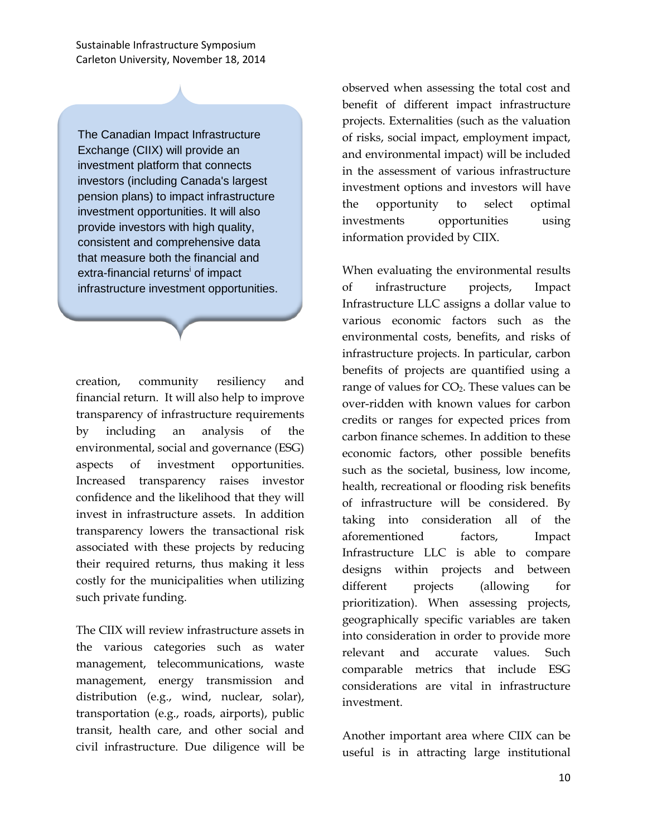The Canadian Impact Infrastructure Exchange (CIIX) will provide an investment platform that connects investors (including Canada's largest pension plans) to impact infrastructure investment opportunities. It will also provide investors with high quality, consistent and comprehensive data that measure both the financial and extra-financial returns<sup>i</sup> of impact infrastructure investment opportunities.

creation, community resiliency and financial return. It will also help to improve transparency of infrastructure requirements by including an analysis of the environmental, social and governance (ESG) aspects of investment opportunities. Increased transparency raises investor confidence and the likelihood that they will invest in infrastructure assets. In addition transparency lowers the transactional risk associated with these projects by reducing their required returns, thus making it less costly for the municipalities when utilizing such private funding.

The CIIX will review infrastructure assets in the various categories such as water management, telecommunications, waste management, energy transmission and distribution (e.g., wind, nuclear, solar), transportation (e.g., roads, airports), public transit, health care, and other social and civil infrastructure. Due diligence will be observed when assessing the total cost and benefit of different impact infrastructure projects. Externalities (such as the valuation of risks, social impact, employment impact, and environmental impact) will be included in the assessment of various infrastructure investment options and investors will have the opportunity to select optimal investments opportunities using information provided by CIIX.

When evaluating the environmental results of infrastructure projects, Impact Infrastructure LLC assigns a dollar value to various economic factors such as the environmental costs, benefits, and risks of infrastructure projects. In particular, carbon benefits of projects are quantified using a range of values for  $CO<sub>2</sub>$ . These values can be over-ridden with known values for carbon credits or ranges for expected prices from carbon finance schemes. In addition to these economic factors, other possible benefits such as the societal, business, low income, health, recreational or flooding risk benefits of infrastructure will be considered. By taking into consideration all of the aforementioned factors, Impact Infrastructure LLC is able to compare designs within projects and between different projects (allowing for prioritization). When assessing projects, geographically specific variables are taken into consideration in order to provide more relevant and accurate values. Such comparable metrics that include ESG considerations are vital in infrastructure investment.

Another important area where CIIX can be useful is in attracting large institutional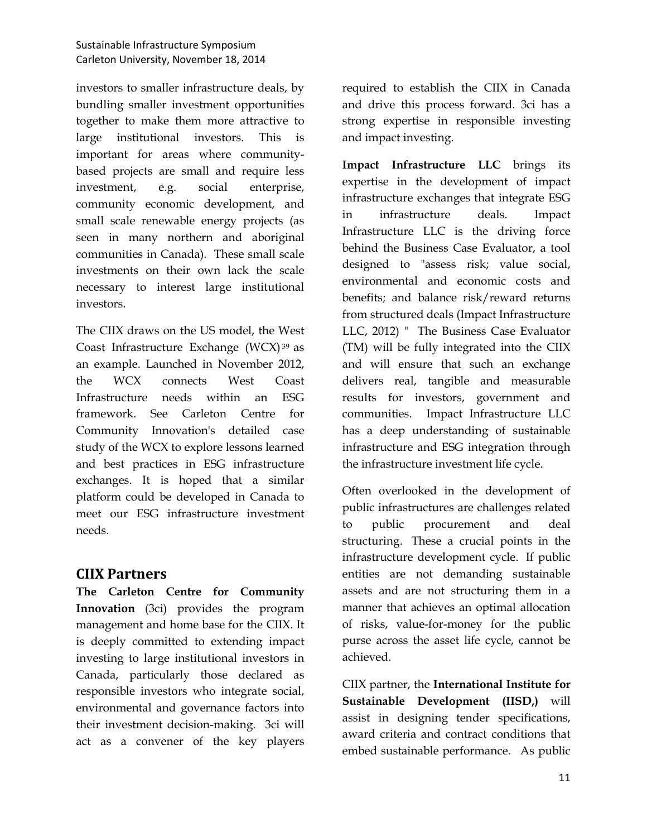investors to smaller infrastructure deals, by bundling smaller investment opportunities together to make them more attractive to large institutional investors. This is important for areas where communitybased projects are small and require less investment, e.g. social enterprise, community economic development, and small scale renewable energy projects (as seen in many northern and aboriginal communities in Canada). These small scale investments on their own lack the scale necessary to interest large institutional investors.

The CIIX draws on the US model, the West Coast Infrastructure Exchange (WCX) [39](#page-17-35) as an example. Launched in November 2012, the WCX connects West Coast Infrastructure needs within an ESG framework. See Carleton Centre for Community Innovation's detailed case study of the WCX to explore lessons learned and best practices in ESG infrastructure exchanges. It is hoped that a similar platform could be developed in Canada to meet our ESG infrastructure investment needs.

### **CIIX Partners**

**The Carleton Centre for Community Innovation** (3ci) provides the program management and home base for the CIIX. It is deeply committed to extending impact investing to large institutional investors in Canada, particularly those declared as responsible investors who integrate social, environmental and governance factors into their investment decision-making. 3ci will act as a convener of the key players

required to establish the CIIX in Canada and drive this process forward. 3ci has a strong expertise in responsible investing and impact investing.

**Impact Infrastructure LLC** brings its expertise in the development of impact infrastructure exchanges that integrate ESG in infrastructure deals. Impact Infrastructure LLC is the driving force behind the Business Case Evaluator, a tool designed to "assess risk; value social, environmental and economic costs and benefits; and balance risk/reward returns from structured deals (Impact Infrastructure LLC, 2012) " The Business Case Evaluator (TM) will be fully integrated into the CIIX and will ensure that such an exchange delivers real, tangible and measurable results for investors, government and communities. Impact Infrastructure LLC has a deep understanding of sustainable infrastructure and ESG integration through the infrastructure investment life cycle.

Often overlooked in the development of public infrastructures are challenges related to public procurement and deal structuring. These a crucial points in the infrastructure development cycle. If public entities are not demanding sustainable assets and are not structuring them in a manner that achieves an optimal allocation of risks, value-for-money for the public purse across the asset life cycle, cannot be achieved.

CIIX partner, the **International Institute for Sustainable Development (IISD,)** will assist in designing tender specifications, award criteria and contract conditions that embed sustainable performance. As public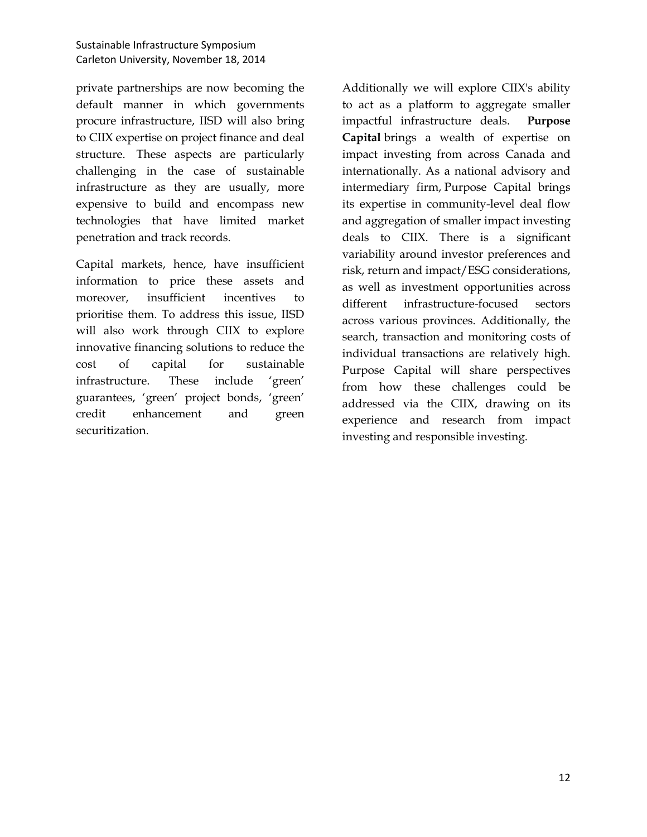private partnerships are now becoming the default manner in which governments procure infrastructure, IISD will also bring to CIIX expertise on project finance and deal structure. These aspects are particularly challenging in the case of sustainable infrastructure as they are usually, more expensive to build and encompass new technologies that have limited market penetration and track records.

Capital markets, hence, have insufficient information to price these assets and moreover, insufficient incentives to prioritise them. To address this issue, IISD will also work through CIIX to explore innovative financing solutions to reduce the cost of capital for sustainable infrastructure. These include 'green' guarantees, 'green' project bonds, 'green' credit enhancement and green securitization.

Additionally we will explore CIIX's ability to act as a platform to aggregate smaller impactful infrastructure deals. **Purpose Capital** brings a wealth of expertise on impact investing from across Canada and internationally. As a national advisory and intermediary firm, Purpose Capital brings its expertise in community-level deal flow and aggregation of smaller impact investing deals to CIIX. There is a significant variability around investor preferences and risk, return and impact/ESG considerations, as well as investment opportunities across different infrastructure-focused sectors across various provinces. Additionally, the search, transaction and monitoring costs of individual transactions are relatively high. Purpose Capital will share perspectives from how these challenges could be addressed via the CIIX, drawing on its experience and research from impact investing and responsible investing.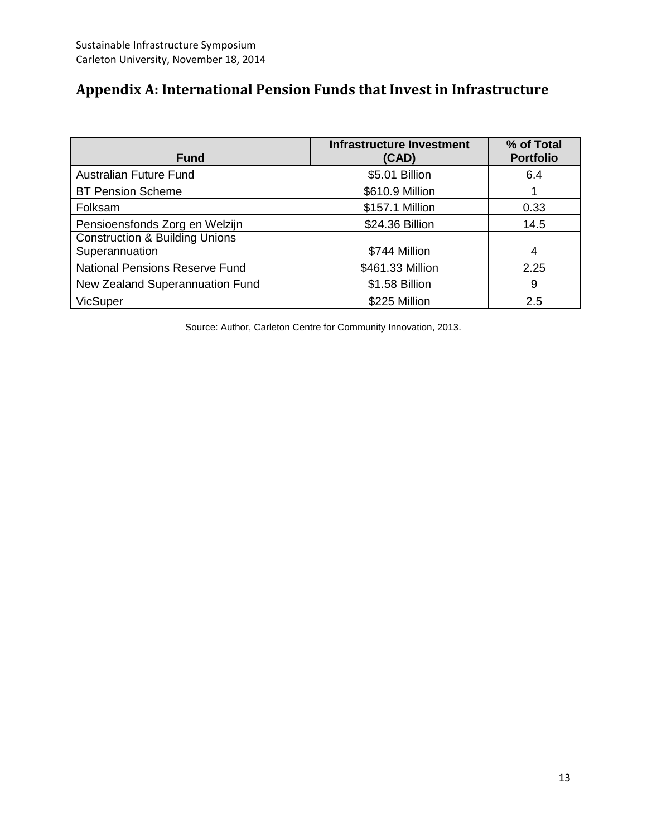# <span id="page-14-0"></span>**Appendix A: International Pension Funds that Invest in Infrastructure**

| <b>Fund</b>                                                 | <b>Infrastructure Investment</b><br>(CAD) | % of Total<br><b>Portfolio</b> |
|-------------------------------------------------------------|-------------------------------------------|--------------------------------|
| <b>Australian Future Fund</b>                               | \$5.01 Billion                            | 6.4                            |
| <b>BT Pension Scheme</b>                                    | \$610.9 Million                           |                                |
| Folksam                                                     | \$157.1 Million                           | 0.33                           |
| Pensioensfonds Zorg en Welzijn                              | \$24.36 Billion                           | 14.5                           |
| <b>Construction &amp; Building Unions</b><br>Superannuation | \$744 Million                             | 4                              |
| National Pensions Reserve Fund                              | \$461.33 Million                          | 2.25                           |
| New Zealand Superannuation Fund                             | \$1.58 Billion                            | 9                              |
| <b>VicSuper</b>                                             | \$225 Million                             | 2.5                            |

Source: Author, Carleton Centre for Community Innovation, 2013.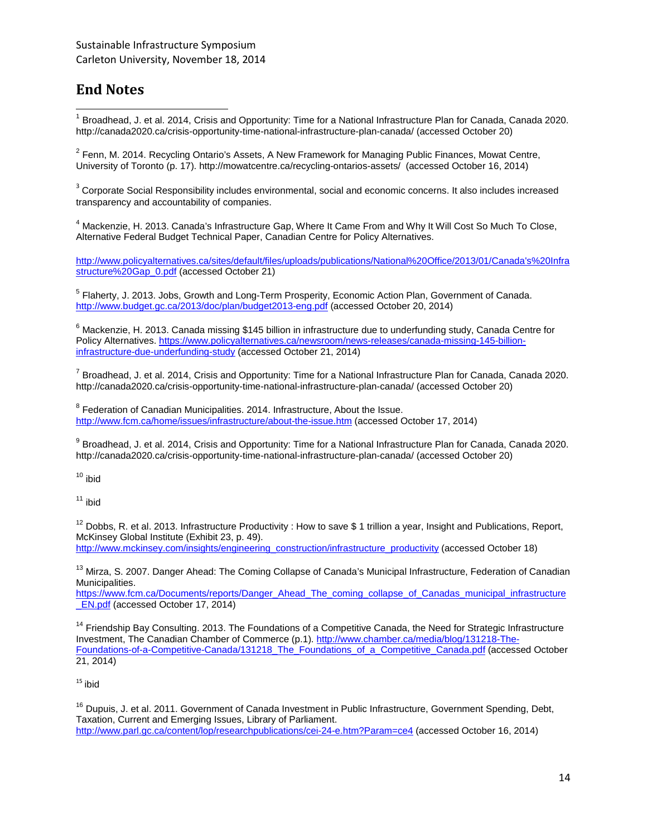### <span id="page-15-0"></span>**End Notes**

 $^1$  Broadhead, J. et al. 2014, Crisis and Opportunity: Time for a National Infrastructure Plan for Canada, Canada 2020. http://canada2020.ca/crisis-opportunity-time-national-infrastructure-plan-canada/ (accessed October 20)

 $2$  Fenn, M. 2014. Recycling Ontario's Assets, A New Framework for Managing Public Finances, Mowat Centre, University of Toronto (p. 17). http://mowatcentre.ca/recycling-ontarios-assets/ (accessed October 16, 2014)

<sup>3</sup> Corporate Social Responsibility includes environmental, social and economic concerns. It also includes increased transparency and accountability of companies.

<sup>4</sup> Mackenzie, H. 2013. Canada's Infrastructure Gap, Where It Came From and Why It Will Cost So Much To Close, Alternative Federal Budget Technical Paper, Canadian Centre for Policy Alternatives.

[http://www.policyalternatives.ca/sites/default/files/uploads/publications/National%20Office/2013/01/Canada's%20Infra](http://www.policyalternatives.ca/sites/default/files/uploads/publications/National%20Office/2013/01/Canada) [structure%20Gap\\_0.pdf](http://www.policyalternatives.ca/sites/default/files/uploads/publications/National%20Office/2013/01/Canada) (accessed October 21)

<sup>5</sup> Flaherty, J. 2013. Jobs, Growth and Long-Term Prosperity, Economic Action Plan, Government of Canada. <http://www.budget.gc.ca/2013/doc/plan/budget2013-eng.pdf> (accessed October 20, 2014)

<sup>6</sup> Mackenzie. H. 2013. Canada missing \$145 billion in infrastructure due to underfunding study, Canada Centre for Policy Alternatives[. https://www.policyalternatives.ca/newsroom/news-releases/canada-missing-145-billion](https://www.policyalternatives.ca/newsroom/news-releases/canada-missing-145-billion-infrastructure-due-underfunding-study)[infrastructure-due-underfunding-study](https://www.policyalternatives.ca/newsroom/news-releases/canada-missing-145-billion-infrastructure-due-underfunding-study) (accessed October 21, 2014)

 $^7$  Broadhead, J. et al. 2014, Crisis and Opportunity: Time for a National Infrastructure Plan for Canada, Canada 2020. http://canada2020.ca/crisis-opportunity-time-national-infrastructure-plan-canada/ (accessed October 20)

<sup>8</sup> Federation of Canadian Municipalities. 2014. Infrastructure, About the Issue. <http://www.fcm.ca/home/issues/infrastructure/about-the-issue.htm> (accessed October 17, 2014)

9 Broadhead, J. et al. 2014, Crisis and Opportunity: Time for a National Infrastructure Plan for Canada, Canada 2020. http://canada2020.ca/crisis-opportunity-time-national-infrastructure-plan-canada/ (accessed October 20)

 $10$  ibid

 $11$  ibid

 $12$  Dobbs, R. et al. 2013. Infrastructure Productivity : How to save \$ 1 trillion a year, Insight and Publications, Report, McKinsey Global Institute (Exhibit 23, p. 49).

[http://www.mckinsey.com/insights/engineering\\_construction/infrastructure\\_productivity](http://www.mckinsey.com/insights/engineering_construction/infrastructure_productivity) (accessed October 18)

<sup>13</sup> Mirza. S. 2007. Danger Ahead: The Coming Collapse of Canada's Municipal Infrastructure, Federation of Canadian Municipalities.

[https://www.fcm.ca/Documents/reports/Danger\\_Ahead\\_The\\_coming\\_collapse\\_of\\_Canadas\\_municipal\\_infrastructure](https://www.fcm.ca/Documents/reports/Danger_Ahead_The_coming_collapse_of_Canadas_municipal_infrastructure_EN.pdf) [\\_EN.pdf](https://www.fcm.ca/Documents/reports/Danger_Ahead_The_coming_collapse_of_Canadas_municipal_infrastructure_EN.pdf) (accessed October 17, 2014)

<sup>14</sup> Friendship Bay Consulting. 2013. The Foundations of a Competitive Canada, the Need for Strategic Infrastructure Investment, The Canadian Chamber of Commerce (p.1)[. http://www.chamber.ca/media/blog/131218-The-](http://www.chamber.ca/media/blog/131218-The-Foundations-of-a-Competitive-Canada/131218_The_Foundations_of_a_Competitive_Canada.pdf)[Foundations-of-a-Competitive-Canada/131218\\_The\\_Foundations\\_of\\_a\\_Competitive\\_Canada.pdf](http://www.chamber.ca/media/blog/131218-The-Foundations-of-a-Competitive-Canada/131218_The_Foundations_of_a_Competitive_Canada.pdf) (accessed October 21, 2014)

 $15$  ibid

<sup>16</sup> Dupuis, J. et al. 2011. Government of Canada Investment in Public Infrastructure, Government Spending, Debt, Taxation, Current and Emerging Issues, Library of Parliament. <http://www.parl.gc.ca/content/lop/researchpublications/cei-24-e.htm?Param=ce4> (accessed October 16, 2014)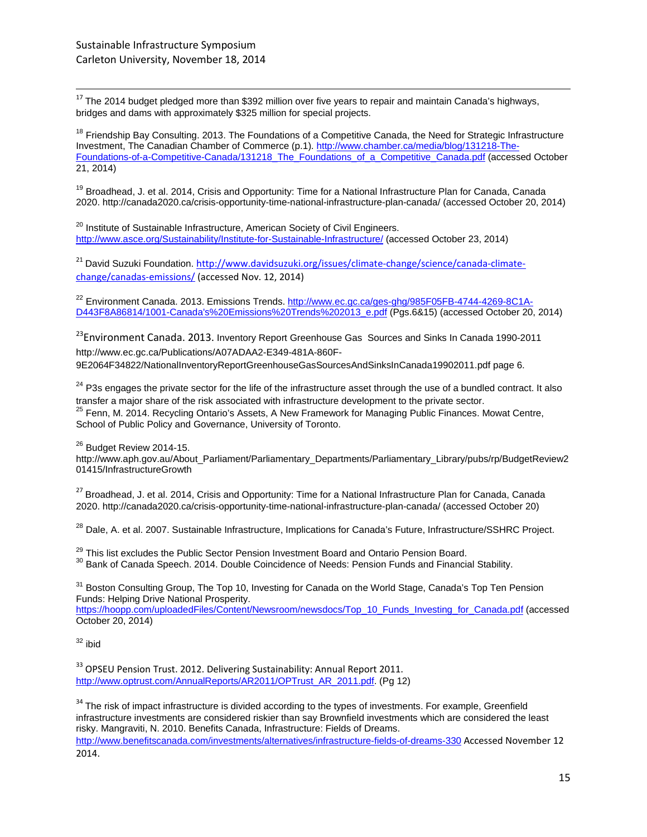$17$  The 2014 budget pledged more than \$392 million over five years to repair and maintain Canada's highways, bridges and dams with approximately \$325 million for special projects.

<span id="page-16-1"></span><span id="page-16-0"></span><sup>18</sup> Friendship Bay Consulting. 2013. The Foundations of a Competitive Canada, the Need for Strategic Infrastructure Investment, The Canadian Chamber of Commerce (p.1)[. http://www.chamber.ca/media/blog/131218-The-](http://www.chamber.ca/media/blog/131218-The-Foundations-of-a-Competitive-Canada/131218_The_Foundations_of_a_Competitive_Canada.pdf)[Foundations-of-a-Competitive-Canada/131218\\_The\\_Foundations\\_of\\_a\\_Competitive\\_Canada.pdf](http://www.chamber.ca/media/blog/131218-The-Foundations-of-a-Competitive-Canada/131218_The_Foundations_of_a_Competitive_Canada.pdf) (accessed October 21, 2014)

<span id="page-16-2"></span><sup>19</sup> Broadhead, J. et al. 2014, Crisis and Opportunity: Time for a National Infrastructure Plan for Canada, Canada 2020. http://canada2020.ca/crisis-opportunity-time-national-infrastructure-plan-canada/ (accessed October 20, 2014)

<sup>20</sup> Institute of Sustainable Infrastructure, American Society of Civil Engineers. <http://www.asce.org/Sustainability/Institute-for-Sustainable-Infrastructure/> (accessed October 23, 2014)

<sup>21</sup> David Suzuki Foundation. [http://www.davidsuzuki.org/issues/climate-change/science/canada-climate](http://www.davidsuzuki.org/issues/climate-change/science/canada-climate-change/canadas-emissions/)[change/canadas-emissions/](http://www.davidsuzuki.org/issues/climate-change/science/canada-climate-change/canadas-emissions/) (accessed Nov. 12, 2014)

<sup>22</sup> Environment Canada. 2013. Emissions Trends[. http://www.ec.gc.ca/ges-ghg/985F05FB-4744-4269-8C1A-](http://www.ec.gc.ca/ges-ghg/985F05FB-4744-4269-8C1A-D443F8A86814/1001-Canada)[D443F8A86814/1001-Canada's%20Emissions%20Trends%202013\\_e.pdf](http://www.ec.gc.ca/ges-ghg/985F05FB-4744-4269-8C1A-D443F8A86814/1001-Canada) (Pgs.6&15) (accessed October 20, 2014)

<sup>23</sup>Environment Canada. 2013. Inventory Report Greenhouse Gas Sources and Sinks In Canada 1990-2011 http://www.ec.gc.ca/Publications/A07ADAA2-E349-481A-860F-9E2064F34822/NationalInventoryReportGreenhouseGasSourcesAndSinksInCanada19902011.pdf page 6.

<sup>24</sup> P3s engages the private sector for the life of the infrastructure asset through the use of a bundled contract. It also transfer a major share of the risk associated with infrastructure development to the private sector. <sup>25</sup> Fenn, M. 2014. Recycling Ontario's Assets, A New Framework for Managing Public Finances. Mowat Centre, School of Public Policy and Governance, University of Toronto.

<sup>26</sup> Budget Review 2014-15.

http://www.aph.gov.au/About\_Parliament/Parliamentary\_Departments/Parliamentary\_Library/pubs/rp/BudgetReview2 01415/InfrastructureGrowth

<sup>27</sup> Broadhead, J. et al. 2014, Crisis and Opportunity: Time for a National Infrastructure Plan for Canada, Canada 2020. http://canada2020.ca/crisis-opportunity-time-national-infrastructure-plan-canada/ (accessed October 20)

<sup>28</sup> Dale, A. et al. 2007. Sustainable Infrastructure, Implications for Canada's Future, Infrastructure/SSHRC Project.

<sup>29</sup> This list excludes the Public Sector Pension Investment Board and Ontario Pension Board.<br><sup>30</sup> Bank of Canada Speech. 2014. Double Coincidence of Needs: Pension Funds and Financial Stability.

<sup>31</sup> Boston Consulting Group, The Top 10, Investing for Canada on the World Stage, Canada's Top Ten Pension Funds: Helping Drive National Prosperity.

[https://hoopp.com/uploadedFiles/Content/Newsroom/newsdocs/Top\\_10\\_Funds\\_Investing\\_for\\_Canada.pdf](https://hoopp.com/uploadedFiles/Content/Newsroom/newsdocs/Top_10_Funds_Investing_for_Canada.pdf) (accessed October 20, 2014)

 $32$  ibid

<sup>33</sup> OPSEU Pension Trust. 2012. Delivering Sustainability: Annual Report 2011. [http://www.optrust.com/AnnualReports/AR2011/OPTrust\\_AR\\_2011.pdf.](http://www.optrust.com/AnnualReports/AR2011/OPTrust_AR_2011.pdf) (Pg 12)

<sup>34</sup> The risk of impact infrastructure is divided according to the types of investments. For example, Greenfield infrastructure investments are considered riskier than say Brownfield investments which are considered the least risky. Mangraviti, N. 2010. Benefits Canada, Infrastructure: Fields of Dreams. <http://www.benefitscanada.com/investments/alternatives/infrastructure-fields-of-dreams-330> Accessed November 12 2014.